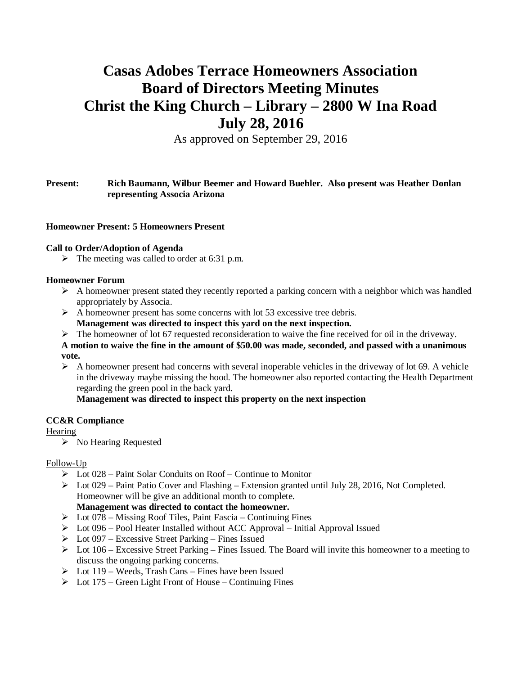# **Casas Adobes Terrace Homeowners Association Board of Directors Meeting Minutes Christ the King Church – Library – 2800 W Ina Road July 28, 2016**

As approved on September 29, 2016

# **Present: Rich Baumann, Wilbur Beemer and Howard Buehler. Also present was Heather Donlan representing Associa Arizona**

## **Homeowner Present: 5 Homeowners Present**

## **Call to Order/Adoption of Agenda**

 $\triangleright$  The meeting was called to order at 6:31 p.m.

## **Homeowner Forum**

- $\triangleright$  A homeowner present stated they recently reported a parking concern with a neighbor which was handled appropriately by Associa.
- $\triangleright$  A homeowner present has some concerns with lot 53 excessive tree debris.
	- **Management was directed to inspect this yard on the next inspection.**
- $\triangleright$  The homeowner of lot 67 requested reconsideration to waive the fine received for oil in the driveway.

## **A motion to waive the fine in the amount of \$50.00 was made, seconded, and passed with a unanimous vote.**

 $\triangleright$  A homeowner present had concerns with several inoperable vehicles in the driveway of lot 69. A vehicle in the driveway maybe missing the hood. The homeowner also reported contacting the Health Department regarding the green pool in the back yard.

**Management was directed to inspect this property on the next inspection**

# **CC&R Compliance**

# **Hearing**

 $\triangleright$  No Hearing Requested

# Follow-Up

- $\triangleright$  Lot 028 Paint Solar Conduits on Roof Continue to Monitor
- $\triangleright$  Lot 029 Paint Patio Cover and Flashing Extension granted until July 28, 2016, Not Completed. Homeowner will be give an additional month to complete.

**Management was directed to contact the homeowner.**

- $\triangleright$  Lot 078 Missing Roof Tiles, Paint Fascia Continuing Fines
- $\triangleright$  Lot 096 Pool Heater Installed without ACC Approval Initial Approval Issued
- $\triangleright$  Lot 097 Excessive Street Parking Fines Issued
- $\triangleright$  Lot 106 Excessive Street Parking Fines Issued. The Board will invite this homeowner to a meeting to discuss the ongoing parking concerns.
- $\triangleright$  Lot 119 Weeds, Trash Cans Fines have been Issued
- $\triangleright$  Lot 175 Green Light Front of House Continuing Fines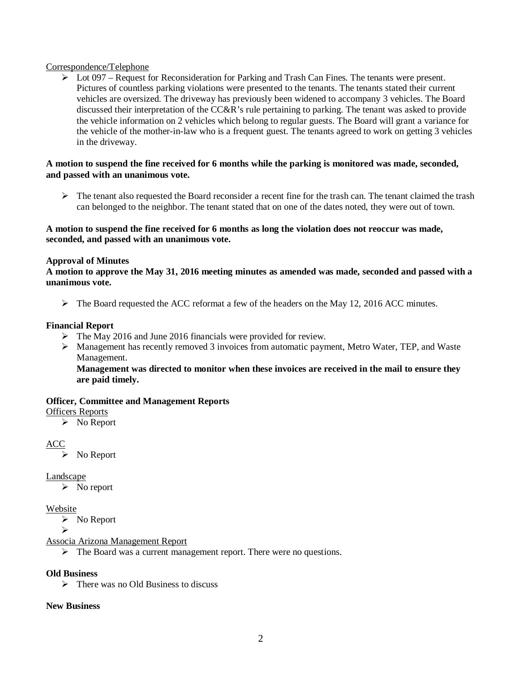## Correspondence/Telephone

 $\triangleright$  Lot 097 – Request for Reconsideration for Parking and Trash Can Fines. The tenants were present. Pictures of countless parking violations were presented to the tenants. The tenants stated their current vehicles are oversized. The driveway has previously been widened to accompany 3 vehicles. The Board discussed their interpretation of the CC&R's rule pertaining to parking. The tenant was asked to provide the vehicle information on 2 vehicles which belong to regular guests. The Board will grant a variance for the vehicle of the mother-in-law who is a frequent guest. The tenants agreed to work on getting 3 vehicles in the driveway.

## **A motion to suspend the fine received for 6 months while the parking is monitored was made, seconded, and passed with an unanimous vote.**

 $\triangleright$  The tenant also requested the Board reconsider a recent fine for the trash can. The tenant claimed the trash can belonged to the neighbor. The tenant stated that on one of the dates noted, they were out of town.

## **A motion to suspend the fine received for 6 months as long the violation does not reoccur was made, seconded, and passed with an unanimous vote.**

# **Approval of Minutes**

**A motion to approve the May 31, 2016 meeting minutes as amended was made, seconded and passed with a unanimous vote.**

 $\triangleright$  The Board requested the ACC reformat a few of the headers on the May 12, 2016 ACC minutes.

#### **Financial Report**

- $\triangleright$  The May 2016 and June 2016 financials were provided for review.
- $\triangleright$  Management has recently removed 3 invoices from automatic payment, Metro Water, TEP, and Waste Management.

**Management was directed to monitor when these invoices are received in the mail to ensure they are paid timely.**

#### **Officer, Committee and Management Reports**

#### Officers Reports

 $\triangleright$  No Report

# ACC

 $\triangleright$  No Report

# Landscape

 $\triangleright$  No report

## Website

 $\triangleright$  No Report

Ø

Associa Arizona Management Report

 $\triangleright$  The Board was a current management report. There were no questions.

# **Old Business**

 $\triangleright$  There was no Old Business to discuss

# **New Business**